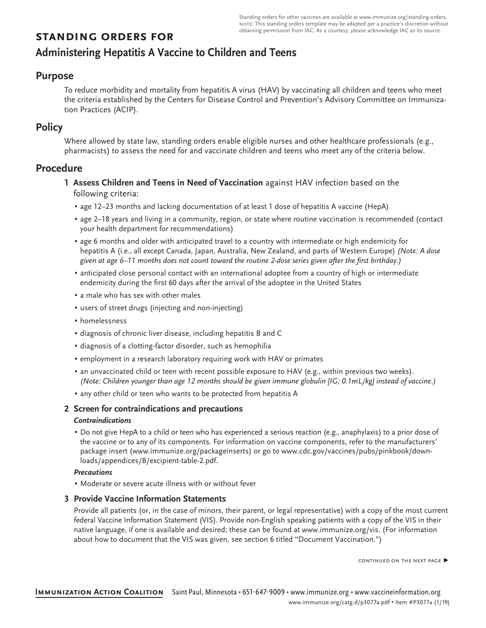# **standing orders for**

# **Administering Hepatitis A Vaccine to Children and Teens**

### **Purpose**

To reduce morbidity and mortality from hepatitis A virus (HAV) by vaccinating all children and teens who meet the criteria established by the Centers for Disease Control and Prevention's Advisory Committee on Immunization Practices (ACIP).

# **Policy**

Where allowed by state law, standing orders enable eligible nurses and other healthcare professionals (e.g., pharmacists) to assess the need for and vaccinate children and teens who meet any of the criteria below.

### **Procedure**

- **1 Assess Children and Teens in Need of Vaccination** against HAV infection based on the following criteria:
	- age 12–23 months and lacking documentation of at least 1 dose of hepatitis A vaccine (HepA)
	- age 2–18 years and living in a community, region, or state where routine vaccination is recommended (contact your health department for recommendations)
	- age 6 months and older with anticipated travel to a country with intermediate or high endemicity for hepatitis A (i.e., all except Canada, Japan, Australia, New Zealand, and parts of Western Europe) *(Note: A dose* given at age 6–11 months does not count toward the routine 2-dose series given after the first birthday.)
	- anticipated close personal contact with an international adoptee from a country of high or intermediate endemicity during the first 60 days after the arrival of the adoptee in the United States
	- a male who has sex with other males
	- users of street drugs (injecting and non-injecting)
	- homelessness
	- diagnosis of chronic liver disease, including hepatitis B and C
	- diagnosis of a clotting-factor disorder, such as hemophilia
	- employment in a research laboratory requiring work with HAV or primates
	- an unvaccinated child or teen with recent possible exposure to HAV (e.g., within previous two weeks). (Note: Children younger than age 12 months should be given immune globulin [IG; 0.1mL/kg] instead of vaccine.)
	- **any other child or teen who wants to be protected from hepatitis A**

### **2 Screen for contraindications and precautions**

### *Contraindications*

▪ Do not give HepA to a child or teen who has experienced a serious reaction (e.g., anaphylaxis) to a prior dose of the vaccine or to any of its components. For information on vaccine components, refer to the manufacturers' package insert (www.immunize.org/packageinserts) or go to www.cdc.gov/vaccines/pubs/pinkbook/downloads/appendices/B/excipient-table-2.pdf.

#### *Precautions*

▪ Moderate or severe acute illness with or without fever

### **3 Provide Vaccine Information Statements**

Provide all patients (or, in the case of minors, their parent, or legal representative) with a copy of the most current federal Vaccine Information Statement (VIS). Provide non-English speaking patients with a copy of the VIS in their native language, if one is available and desired; these can be found at www.immunize.org/vis. (For information about how to document that the VIS was given, see section 6 titled "Document Vaccination.")

continued on the next page ▶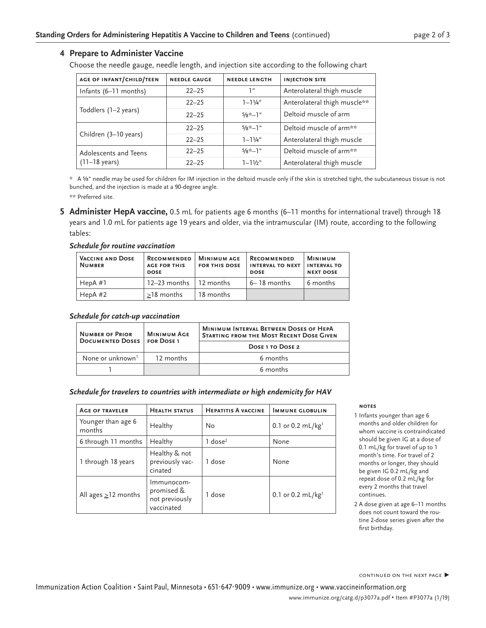#### **4 Prepare to Administer Vaccine**

Choose the needle gauge, needle length, and injection site according to the following chart

| <b>AGE OF INFANT/CHILD/TEEN</b>                  | <b>NEEDLE GAUGE</b> | <b>NEEDLE LENGTH</b> | <b>INJECTION SITE</b>        |
|--------------------------------------------------|---------------------|----------------------|------------------------------|
| Infants (6–11 months)                            | $22 - 25$           | יי ד                 | Anterolateral thigh muscle   |
| Toddlers (1–2 years)                             | $22 - 25$           | $1 - 11/4$ "         | Anterolateral thigh muscle** |
|                                                  | $22 - 25$           | $5/8$ *-1"           | Deltoid muscle of arm        |
| Children (3-10 years)                            | $22 - 25$           | $5/8$ *-1"           | Deltoid muscle of arm**      |
|                                                  | $22 - 25$           | $1 - 11/4$ "         | Anterolateral thigh muscle   |
| Adolescents and Teens<br>$(11-18 \text{ years})$ | $22 - 25$           | $5/8$ *-1"           | Deltoid muscle of arm**      |
|                                                  | $22 - 25$           | $1 - 11/2$ "         | Anterolateral thigh muscle   |

\* A ⅝" needle may be used for children for IM injection in the deltoid muscle only if the skin is stretched tight, the subcutaneous tissue is not bunched, and the injection is made at a 90-degree angle.

\*\* Preferred site.

**5 Administer HepA vaccine,** 0.5 mL for patients age 6 months (6–11 months for international travel) through 18 years and 1.0 mL for patients age 19 years and older, via the intramuscular (IM) route, according to the following tables:

#### *Schedule for routine vaccination*

| <b>VACCINE AND DOSE</b><br><b>NUMBER</b> | <b>RECOMMENDED</b><br><b>AGE FOR THIS</b><br><b>DOSE</b> | <b>MINIMUM AGE</b><br><b>FOR THIS DOSE</b> | <b>RECOMMENDED</b><br><b>INTERVAL TO NEXT</b><br><b>DOSE</b> | <b>MINIMUM</b><br><b>INTERVAL TO</b><br><b>NEXT DOSE</b> |
|------------------------------------------|----------------------------------------------------------|--------------------------------------------|--------------------------------------------------------------|----------------------------------------------------------|
| HepA#1                                   | $12-23$ months 1 12 months                               |                                            | 6– 18 months                                                 | 6 months                                                 |
| HepA $#2$                                | $>18$ months                                             | 18 months                                  |                                                              |                                                          |

#### *Schedule for catch-up vaccination*

| <b>NUMBER OF PRIOR</b><br><b>DOCUMENTED DOSES</b> | <b>MINIMUM AGE</b><br><b>FOR DOSE 1</b> | <b>MINIMUM INTERVAL BETWEEN DOSES OF HEPA</b><br><b>STARTING FROM THE MOST RECENT DOSE GIVEN</b> |  |
|---------------------------------------------------|-----------------------------------------|--------------------------------------------------------------------------------------------------|--|
|                                                   |                                         | <b>DOSE 1 TO DOSE 2</b>                                                                          |  |
| None or unknown <sup>1</sup>                      | 12 months                               | 6 months                                                                                         |  |
|                                                   |                                         | 6 months                                                                                         |  |

#### *Schedule for travelers to countries with intermediate or high endemicity for HAV*

| <b>AGE OF TRAVELER</b>       | <b>HEALTH STATUS</b>                                     | <b>HEPATITIS A VACCINE</b> | <b>IMMUNE GLOBULIN</b>        |
|------------------------------|----------------------------------------------------------|----------------------------|-------------------------------|
| Younger than age 6<br>months | Healthy                                                  | No                         | 0.1 or 0.2 mL/kg <sup>1</sup> |
| 6 through 11 months          | Healthy                                                  | $1$ dose <sup>2</sup>      | None                          |
| 1 through 18 years           | Healthy & not<br>previously vac-<br>cinated              | 1 dose                     | None                          |
| All ages $\geq$ 12 months    | Immunocom-<br>promised &<br>not previously<br>vaccinated | 1 dose                     | 0.1 or 0.2 mL/kg <sup>1</sup> |

#### **notes**

- 1 Infants younger than age 6 months and older children for whom vaccine is contraindicated should be given IG at a dose of 0.1 mL/kg for travel of up to 1 month's time. For travel of 2 months or longer, they should be given IG 0.2 mL/kg and repeat dose of 0.2 mL/kg for every 2 months that travel continues.
- 2 A dose given at age 6–11 months does not count toward the routine 2-dose series given after the first birthday.

CONTINUED ON THE NEXT PAGE ▶

Immunization Action Coalition • Saint Paul, Minnesota • 651-647-9009 • www.immunize.org • www.vaccineinformation.org www.immunize.org/catg.d/p3077a.pdf • Item #P3077a (1/19)